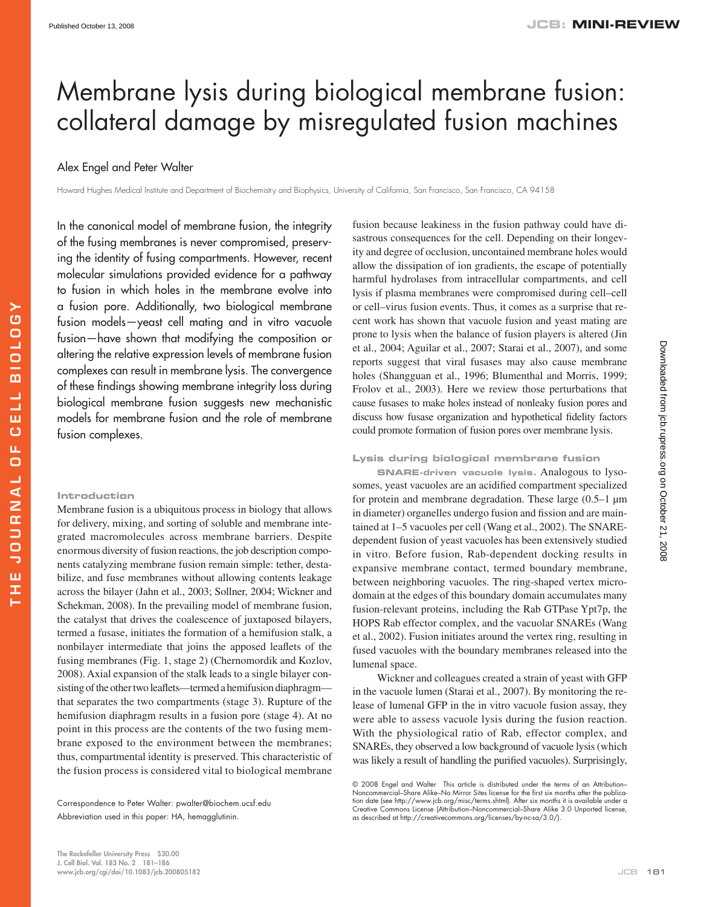# Membrane lysis during biological membrane fusion: collateral damage by misregulated fusion machines

## Alex Engel and Peter Walter

Howard Hughes Medical Institute and Department of Biochemistry and Biophysics, University of California, San Francisco, San Francisco, CA 94158

In the canonical model of membrane fusion, the integrity of the fusing membranes is never compromised, preserving the identity of fusing compartments. However, recent molecular simulations provided evidence for a pathway to fusion in which holes in the membrane evolve into a fusion pore. Additionally, two biological membrane fusion models — yeast cell mating and in vitro vacuole fusion — have shown that modifying the composition or altering the relative expression levels of membrane fusion complexes can result in membrane lysis. The convergence of these findings showing membrane integrity loss during biological membrane fusion suggests new mechanistic models for membrane fusion and the role of membrane fusion complexes.

#### **Introduction**

 Membrane fusion is a ubiquitous process in biology that allows for delivery, mixing, and sorting of soluble and membrane integrated macromolecules across membrane barriers. Despite enormous diversity of fusion reactions, the job description components catalyzing membrane fusion remain simple: tether, destabilize, and fuse membranes without allowing contents leakage across the bilayer (Jahn et al., 2003; Sollner, 2004; Wickner and Schekman, 2008). In the prevailing model of membrane fusion, the catalyst that drives the coalescence of juxtaposed bilayers, termed a fusase, initiates the formation of a hemifusion stalk, a nonbilayer intermediate that joins the apposed leaflets of the fusing membranes (Fig. 1, stage 2) (Chernomordik and Kozlov, 2008 ). Axial expansion of the stalk leads to a single bilayer consisting of the other two leaflets—termed a hemifusion diaphragm that separates the two compartments (stage 3). Rupture of the hemifusion diaphragm results in a fusion pore (stage 4). At no point in this process are the contents of the two fusing membrane exposed to the environment between the membranes; thus, compartmental identity is preserved. This characteristic of the fusion process is considered vital to biological membrane

fusion because leakiness in the fusion pathway could have disastrous consequences for the cell. Depending on their longevity and degree of occlusion, uncontained membrane holes would allow the dissipation of ion gradients, the escape of potentially harmful hydrolases from intracellular compartments, and cell lysis if plasma membranes were compromised during cell-cell or cell-virus fusion events. Thus, it comes as a surprise that recent work has shown that vacuole fusion and yeast mating are prone to lysis when the balance of fusion players is altered (Jin et al., 2004; Aguilar et al., 2007; Starai et al., 2007), and some reports suggest that viral fusases may also cause membrane holes (Shangguan et al., 1996; Blumenthal and Morris, 1999; Frolov et al., 2003). Here we review those perturbations that cause fusases to make holes instead of nonleaky fusion pores and discuss how fusase organization and hypothetical fidelity factors could promote formation of fusion pores over membrane lysis.

#### **Lysis during biological membrane fusion**

**SNARE-driven vacuole lysis.** Analogous to lysosomes, yeast vacuoles are an acidified compartment specialized for protein and membrane degradation. These large  $(0.5-1 \mu m)$ in diameter) organelles undergo fusion and fission and are maintained at 1-5 vacuoles per cell (Wang et al., 2002). The SNAREdependent fusion of yeast vacuoles has been extensively studied in vitro. Before fusion, Rab-dependent docking results in expansive membrane contact, termed boundary membrane, between neighboring vacuoles. The ring-shaped vertex microdomain at the edges of this boundary domain accumulates many fusion-relevant proteins, including the Rab GTPase Ypt7p, the HOPS Rab effector complex, and the vacuolar SNAREs ( Wang et al., 2002 ). Fusion initiates around the vertex ring, resulting in fused vacuoles with the boundary membranes released into the lumenal space.

 Wickner and colleagues created a strain of yeast with GFP in the vacuole lumen (Starai et al., 2007). By monitoring the release of lumenal GFP in the in vitro vacuole fusion assay, they were able to assess vacuole lysis during the fusion reaction. With the physiological ratio of Rab, effector complex, and SNAREs, they observed a low background of vacuole lysis (which was likely a result of handling the purified vacuoles). Surprisingly,

Correspondence to Peter Walter: pwalter@biochem.ucsf.edu Abbreviation used in this paper: HA, hemagglutinin.

<sup>© 2008</sup> Engel and Walter This article is distributed under the terms of an Attribution– Noncommercial–Share Alike–No Mirror Sites license for the fi rst six months after the publication date (see http://www.jcb.org/misc/terms.shtml). After six months it is available under a Creative Commons License (Attribution–Noncommercial–Share Alike 3.0 Unported license, as described at http://creativecommons.org/licenses/by-nc-sa/3.0/).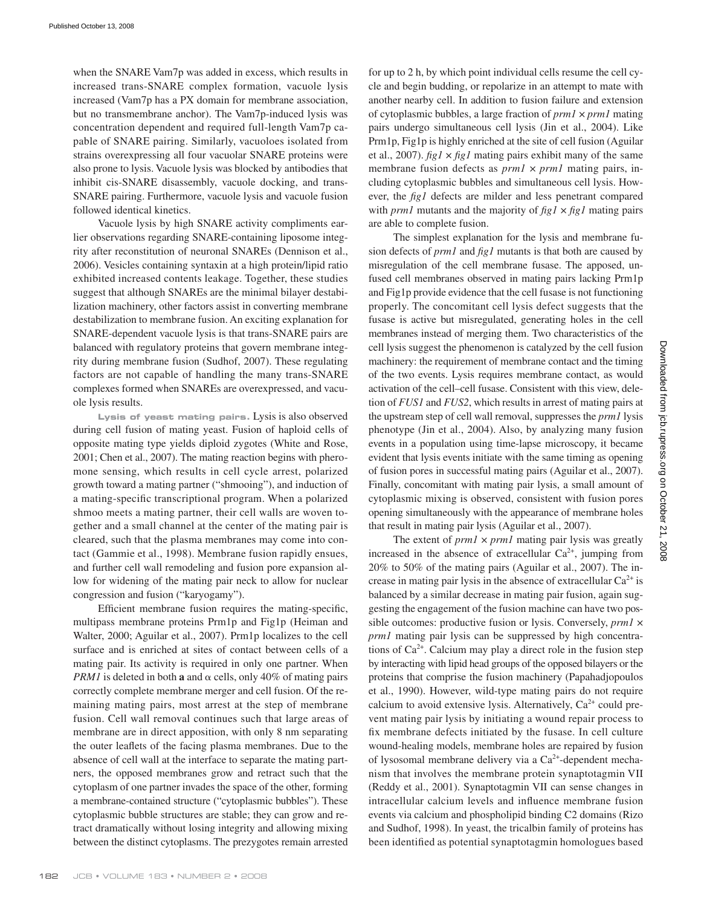when the SNARE Vam7p was added in excess, which results in increased trans-SNARE complex formation, vacuole lysis increased (Vam7p has a PX domain for membrane association, but no transmembrane anchor). The Vam7p-induced lysis was concentration dependent and required full-length Vam7p capable of SNARE pairing. Similarly, vacuoloes isolated from strains overexpressing all four vacuolar SNARE proteins were also prone to lysis. Vacuole lysis was blocked by antibodies that inhibit cis-SNARE disassembly, vacuole docking, and trans-SNARE pairing. Furthermore, vacuole lysis and vacuole fusion followed identical kinetics.

 Vacuole lysis by high SNARE activity compliments earlier observations regarding SNARE-containing liposome integrity after reconstitution of neuronal SNAREs ( Dennison et al., 2006 ). Vesicles containing syntaxin at a high protein/lipid ratio exhibited increased contents leakage. Together, these studies suggest that although SNAREs are the minimal bilayer destabilization machinery, other factors assist in converting membrane destabilization to membrane fusion. An exciting explanation for SNARE-dependent vacuole lysis is that trans-SNARE pairs are balanced with regulatory proteins that govern membrane integrity during membrane fusion (Sudhof, 2007). These regulating factors are not capable of handling the many trans-SNARE complexes formed when SNAREs are overexpressed, and vacuole lysis results.

**Lysis of yeast mating pairs.** Lysis is also observed during cell fusion of mating yeast. Fusion of haploid cells of opposite mating type yields diploid zygotes ( White and Rose, 2001; Chen et al., 2007). The mating reaction begins with pheromone sensing, which results in cell cycle arrest, polarized growth toward a mating partner ("shmooing"), and induction of a mating-specific transcriptional program. When a polarized shmoo meets a mating partner, their cell walls are woven together and a small channel at the center of the mating pair is cleared, such that the plasma membranes may come into contact (Gammie et al., 1998). Membrane fusion rapidly ensues, and further cell wall remodeling and fusion pore expansion allow for widening of the mating pair neck to allow for nuclear congression and fusion ("karyogamy").

Efficient membrane fusion requires the mating-specific, multipass membrane proteins Prm1p and Fig1p (Heiman and Walter, 2000; Aguilar et al., 2007). Prm1p localizes to the cell surface and is enriched at sites of contact between cells of a mating pair. Its activity is required in only one partner. When *PRM1* is deleted in both **a** and  $\alpha$  cells, only 40% of mating pairs correctly complete membrane merger and cell fusion. Of the remaining mating pairs, most arrest at the step of membrane fusion. Cell wall removal continues such that large areas of membrane are in direct apposition, with only 8 nm separating the outer leaflets of the facing plasma membranes. Due to the absence of cell wall at the interface to separate the mating partners, the opposed membranes grow and retract such that the cytoplasm of one partner invades the space of the other, forming a membrane-contained structure ("cytoplasmic bubbles"). These cytoplasmic bubble structures are stable; they can grow and retract dramatically without losing integrity and allowing mixing between the distinct cytoplasms. The prezygotes remain arrested

for up to 2 h, by which point individual cells resume the cell cycle and begin budding, or repolarize in an attempt to mate with another nearby cell. In addition to fusion failure and extension of cytoplasmic bubbles, a large fraction of *prm1* × *prm1* mating pairs undergo simultaneous cell lysis (Jin et al., 2004). Like Prm1p, Fig1p is highly enriched at the site of cell fusion ( Aguilar et al., 2007).  $\frac{f}{g}$   $\times$   $\frac{f}{g}$  mating pairs exhibit many of the same membrane fusion defects as *prm1* × *prm1* mating pairs, including cytoplasmic bubbles and simultaneous cell lysis. However, the *fig1* defects are milder and less penetrant compared with *prm1* mutants and the majority of  $\frac{f}{g}$   $\times$   $\frac{f}{g}$  mating pairs are able to complete fusion.

 The simplest explanation for the lysis and membrane fusion defects of *prm1* and *fig1* mutants is that both are caused by misregulation of the cell membrane fusase. The apposed, unfused cell membranes observed in mating pairs lacking Prm1p and Fig1p provide evidence that the cell fusase is not functioning properly. The concomitant cell lysis defect suggests that the fusase is active but misregulated, generating holes in the cell membranes instead of merging them. Two characteristics of the cell lysis suggest the phenomenon is catalyzed by the cell fusion machinery: the requirement of membrane contact and the timing of the two events. Lysis requires membrane contact, as would activation of the cell-cell fusase. Consistent with this view, deletion of *FUS1* and *FUS2* , which results in arrest of mating pairs at the upstream step of cell wall removal, suppresses the *prm1* lysis phenotype (Jin et al., 2004). Also, by analyzing many fusion events in a population using time-lapse microscopy, it became evident that lysis events initiate with the same timing as opening of fusion pores in successful mating pairs (Aguilar et al., 2007). Finally, concomitant with mating pair lysis, a small amount of cytoplasmic mixing is observed, consistent with fusion pores opening simultaneously with the appearance of membrane holes that result in mating pair lysis ( Aguilar et al., 2007 ).

The extent of  $prm1 \times prm1$  mating pair lysis was greatly increased in the absence of extracellular  $Ca<sup>2+</sup>$ , jumping from 20% to 50% of the mating pairs ( Aguilar et al., 2007 ). The increase in mating pair lysis in the absence of extracellular  $Ca^{2+}$  is balanced by a similar decrease in mating pair fusion, again suggesting the engagement of the fusion machine can have two possible outcomes: productive fusion or lysis. Conversely, *prm1* × *prm1* mating pair lysis can be suppressed by high concentrations of  $Ca<sup>2+</sup>$ . Calcium may play a direct role in the fusion step by interacting with lipid head groups of the opposed bilayers or the proteins that comprise the fusion machinery (Papahadjopoulos et al., 1990). However, wild-type mating pairs do not require calcium to avoid extensive lysis. Alternatively,  $Ca<sup>2+</sup>$  could prevent mating pair lysis by initiating a wound repair process to fix membrane defects initiated by the fusase. In cell culture wound-healing models, membrane holes are repaired by fusion of lysosomal membrane delivery via a  $Ca<sup>2+</sup>$ -dependent mechanism that involves the membrane protein synaptotagmin VII (Reddy et al., 2001). Synaptotagmin VII can sense changes in intracellular calcium levels and influence membrane fusion events via calcium and phospholipid binding C2 domains (Rizo and Sudhof, 1998). In yeast, the tricalbin family of proteins has been identified as potential synaptotagmin homologues based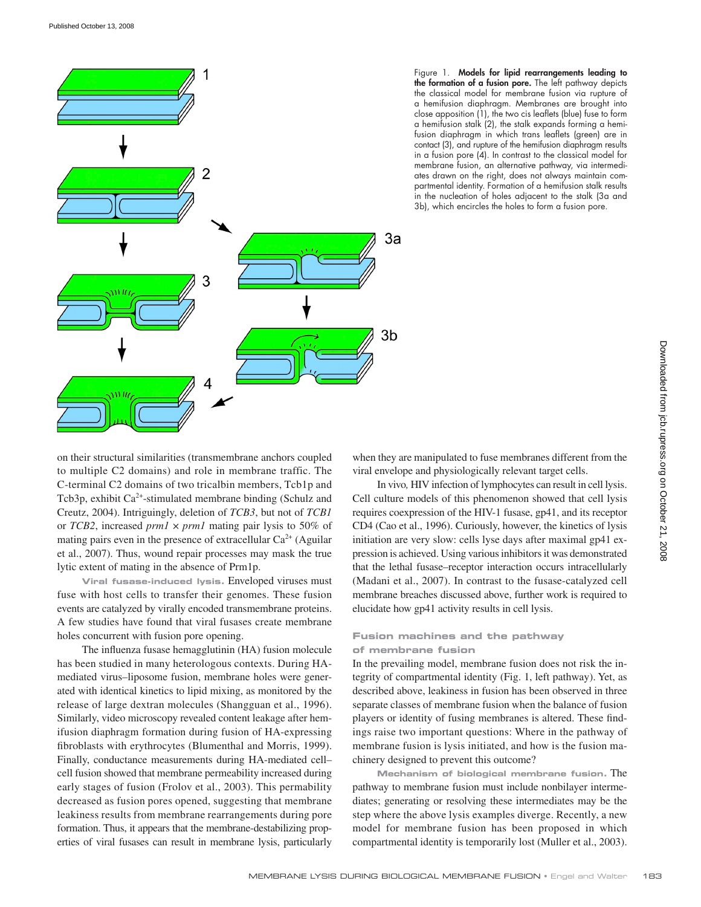

Figure 1. **Models for lipid rearrangements leading to the formation of a fusion pore.** The left pathway depicts the classical model for membrane fusion via rupture of a hemifusion diaphragm. Membranes are brought into close apposition (1), the two cis leaflets (blue) fuse to form a hemifusion stalk (2), the stalk expands forming a hemifusion diaphragm in which trans leaflets (green) are in contact (3), and rupture of the hemifusion diaphragm results in a fusion pore (4). In contrast to the classical model for membrane fusion, an alternative pathway, via intermediates drawn on the right, does not always maintain compartmental identity. Formation of a hemifusion stalk results in the nucleation of holes adjacent to the stalk (3a and 3b), which encircles the holes to form a fusion pore.

on their structural similarities (transmembrane anchors coupled to multiple C2 domains) and role in membrane traffic. The C-terminal C2 domains of two tricalbin members, Tcb1p and Tcb3p, exhibit  $Ca^{2+}$ -stimulated membrane binding (Schulz and Creutz, 2004). Intriguingly, deletion of *TCB3*, but not of *TCB1* or *TCB2* , increased *prm1* × *prm1* mating pair lysis to 50% of mating pairs even in the presence of extracellular  $Ca^{2+}$  (Aguilar et al., 2007). Thus, wound repair processes may mask the true lytic extent of mating in the absence of Prm1p.

**Viral fusase-induced lysis.** Enveloped viruses must fuse with host cells to transfer their genomes. These fusion events are catalyzed by virally encoded transmembrane proteins. A few studies have found that viral fusases create membrane holes concurrent with fusion pore opening.

The influenza fusase hemagglutinin (HA) fusion molecule has been studied in many heterologous contexts. During HAmediated virus-liposome fusion, membrane holes were generated with identical kinetics to lipid mixing, as monitored by the release of large dextran molecules (Shangguan et al., 1996). Similarly, video microscopy revealed content leakage after hemifusion diaphragm formation during fusion of HA-expressing fibroblasts with erythrocytes (Blumenthal and Morris, 1999). Finally, conductance measurements during HA-mediated cell cell fusion showed that membrane permeability increased during early stages of fusion (Frolov et al., 2003). This permability decreased as fusion pores opened, suggesting that membrane leakiness results from membrane rearrangements during pore formation. Thus, it appears that the membrane-destabilizing properties of viral fusases can result in membrane lysis, particularly

when they are manipulated to fuse membranes different from the viral envelope and physiologically relevant target cells.

In vivo, HIV infection of lymphocytes can result in cell lysis. Cell culture models of this phenomenon showed that cell lysis requires coexpression of the HIV-1 fusase, gp41, and its receptor CD4 (Cao et al., 1996). Curiously, however, the kinetics of lysis initiation are very slow: cells lyse days after maximal gp41 expression is achieved. Using various inhibitors it was demonstrated that the lethal fusase – receptor interaction occurs intracellularly (Madani et al., 2007). In contrast to the fusase-catalyzed cell membrane breaches discussed above, further work is required to elucidate how gp41 activity results in cell lysis.

## **Fusion machines and the pathway of membrane fusion**

 In the prevailing model, membrane fusion does not risk the integrity of compartmental identity (Fig. 1, left pathway). Yet, as described above, leakiness in fusion has been observed in three separate classes of membrane fusion when the balance of fusion players or identity of fusing membranes is altered. These findings raise two important questions: Where in the pathway of membrane fusion is lysis initiated, and how is the fusion machinery designed to prevent this outcome?

**Mechanism of biological membrane fusion.** The pathway to membrane fusion must include nonbilayer intermediates; generating or resolving these intermediates may be the step where the above lysis examples diverge. Recently, a new model for membrane fusion has been proposed in which compartmental identity is temporarily lost (Muller et al., 2003).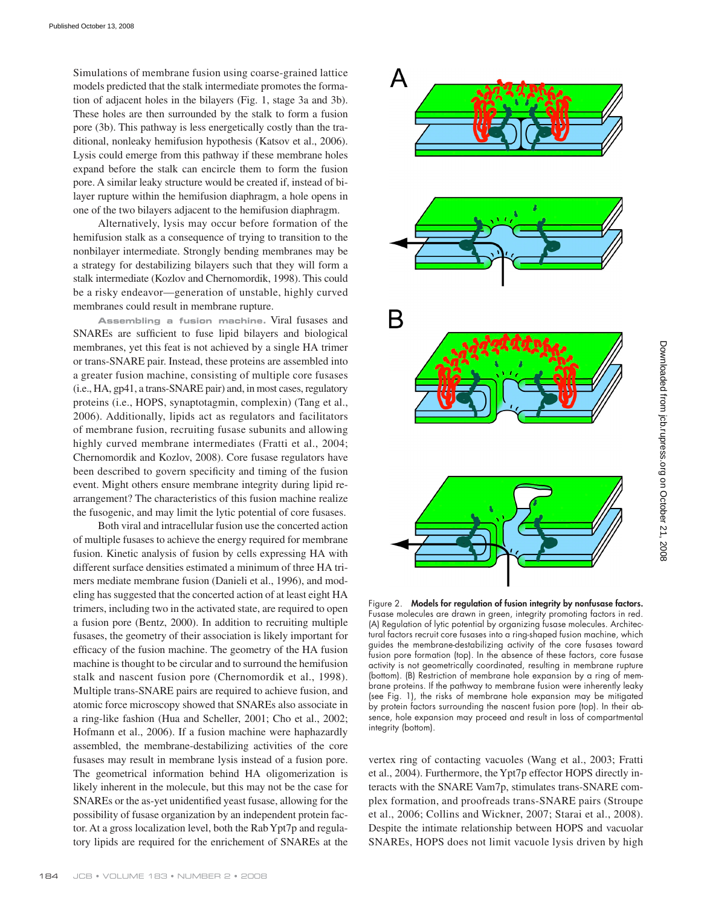Simulations of membrane fusion using coarse-grained lattice models predicted that the stalk intermediate promotes the formation of adjacent holes in the bilayers (Fig. 1, stage 3a and 3b). These holes are then surrounded by the stalk to form a fusion pore (3b). This pathway is less energetically costly than the traditional, nonleaky hemifusion hypothesis (Katsov et al., 2006). Lysis could emerge from this pathway if these membrane holes expand before the stalk can encircle them to form the fusion pore. A similar leaky structure would be created if, instead of bilayer rupture within the hemifusion diaphragm, a hole opens in one of the two bilayers adjacent to the hemifusion diaphragm.

 Alternatively, lysis may occur before formation of the hemifusion stalk as a consequence of trying to transition to the nonbilayer intermediate. Strongly bending membranes may be a strategy for destabilizing bilayers such that they will form a stalk intermediate (Kozlov and Chernomordik, 1998). This could be a risky endeavor—generation of unstable, highly curved membranes could result in membrane rupture.

**Assembling a fusion machine.** Viral fusases and SNAREs are sufficient to fuse lipid bilayers and biological membranes, yet this feat is not achieved by a single HA trimer or trans-SNARE pair. Instead, these proteins are assembled into a greater fusion machine, consisting of multiple core fusases (i.e., HA, gp41, a trans-SNARE pair) and, in most cases, regulatory proteins (i.e., HOPS, synaptotagmin, complexin) (Tang et al., 2006). Additionally, lipids act as regulators and facilitators of membrane fusion, recruiting fusase subunits and allowing highly curved membrane intermediates (Fratti et al., 2004; Chernomordik and Kozlov, 2008). Core fusase regulators have been described to govern specificity and timing of the fusion event. Might others ensure membrane integrity during lipid rearrangement? The characteristics of this fusion machine realize the fusogenic, and may limit the lytic potential of core fusases.

 Both viral and intracellular fusion use the concerted action of multiple fusases to achieve the energy required for membrane fusion. Kinetic analysis of fusion by cells expressing HA with different surface densities estimated a minimum of three HA trimers mediate membrane fusion (Danieli et al., 1996), and modeling has suggested that the concerted action of at least eight HA trimers, including two in the activated state, are required to open a fusion pore (Bentz, 2000). In addition to recruiting multiple fusases, the geometry of their association is likely important for efficacy of the fusion machine. The geometry of the HA fusion machine is thought to be circular and to surround the hemifusion stalk and nascent fusion pore (Chernomordik et al., 1998). Multiple trans-SNARE pairs are required to achieve fusion, and atomic force microscopy showed that SNAREs also associate in a ring-like fashion (Hua and Scheller, 2001; Cho et al., 2002; Hofmann et al., 2006). If a fusion machine were haphazardly assembled, the membrane-destabilizing activities of the core fusases may result in membrane lysis instead of a fusion pore. The geometrical information behind HA oligomerization is likely inherent in the molecule, but this may not be the case for SNAREs or the as-yet unidentified yeast fusase, allowing for the possibility of fusase organization by an independent protein factor. At a gross localization level, both the Rab Ypt7p and regulatory lipids are required for the enrichement of SNAREs at the





Figure 2. **Models for regulation of fusion integrity by nonfusase factors.** Fusase molecules are drawn in green, integrity promoting factors in red. (A) Regulation of lytic potential by organizing fusase molecules. Architectural factors recruit core fusases into a ring-shaped fusion machine, which guides the membrane-destabilizing activity of the core fusases toward fusion pore formation (top). In the absence of these factors, core fusase activity is not geometrically coordinated, resulting in membrane rupture (bottom). (B) Restriction of membrane hole expansion by a ring of membrane proteins. If the pathway to membrane fusion were inherently leaky (see Fig. 1), the risks of membrane hole expansion may be mitigated by protein factors surrounding the nascent fusion pore (top). In their absence, hole expansion may proceed and result in loss of compartmental integrity (bottom).

vertex ring of contacting vacuoles (Wang et al., 2003; Fratti et al., 2004). Furthermore, the Ypt7p effector HOPS directly interacts with the SNARE Vam7p, stimulates trans-SNARE complex formation, and proofreads trans-SNARE pairs ( Stroupe et al., 2006; Collins and Wickner, 2007; Starai et al., 2008). Despite the intimate relationship between HOPS and vacuolar SNAREs, HOPS does not limit vacuole lysis driven by high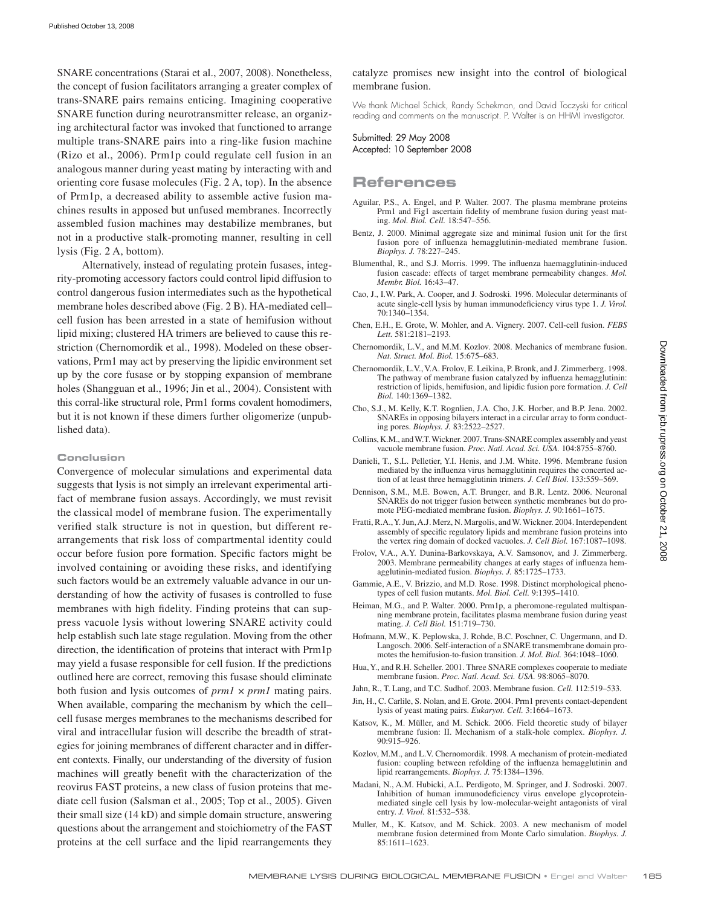SNARE concentrations (Starai et al., 2007, 2008). Nonetheless, the concept of fusion facilitators arranging a greater complex of trans-SNARE pairs remains enticing. Imagining cooperative SNARE function during neurotransmitter release, an organizing architectural factor was invoked that functioned to arrange multiple trans-SNARE pairs into a ring-like fusion machine (Rizo et al., 2006). Prm1p could regulate cell fusion in an analogous manner during yeast mating by interacting with and orienting core fusase molecules ( Fig. 2 A , top). In the absence of Prm1p, a decreased ability to assemble active fusion machines results in apposed but unfused membranes. Incorrectly assembled fusion machines may destabilize membranes, but not in a productive stalk-promoting manner, resulting in cell lysis (Fig. 2 A, bottom).

 Alternatively, instead of regulating protein fusases, integrity-promoting accessory factors could control lipid diffusion to control dangerous fusion intermediates such as the hypothetical membrane holes described above (Fig. 2 B). HA-mediated cell cell fusion has been arrested in a state of hemifusion without lipid mixing; clustered HA trimers are believed to cause this restriction (Chernomordik et al., 1998). Modeled on these observations, Prm1 may act by preserving the lipidic environment set up by the core fusase or by stopping expansion of membrane holes (Shangguan et al., 1996; Jin et al., 2004). Consistent with this corral-like structural role, Prm1 forms covalent homodimers, but it is not known if these dimers further oligomerize (unpublished data).

#### **Conclusion**

 Convergence of molecular simulations and experimental data suggests that lysis is not simply an irrelevant experimental artifact of membrane fusion assays. Accordingly, we must revisit the classical model of membrane fusion. The experimentally verified stalk structure is not in question, but different rearrangements that risk loss of compartmental identity could occur before fusion pore formation. Specific factors might be involved containing or avoiding these risks, and identifying such factors would be an extremely valuable advance in our understanding of how the activity of fusases is controlled to fuse membranes with high fidelity. Finding proteins that can suppress vacuole lysis without lowering SNARE activity could help establish such late stage regulation. Moving from the other direction, the identification of proteins that interact with Prm1p may yield a fusase responsible for cell fusion. If the predictions outlined here are correct, removing this fusase should eliminate both fusion and lysis outcomes of *prm1* × *prm1* mating pairs. When available, comparing the mechanism by which the cell cell fusase merges membranes to the mechanisms described for viral and intracellular fusion will describe the breadth of strategies for joining membranes of different character and in different contexts. Finally, our understanding of the diversity of fusion machines will greatly benefit with the characterization of the reovirus FAST proteins, a new class of fusion proteins that mediate cell fusion (Salsman et al., 2005; Top et al., 2005). Given their small size (14 kD) and simple domain structure, answering questions about the arrangement and stoichiometry of the FAST proteins at the cell surface and the lipid rearrangements they

#### catalyze promises new insight into the control of biological membrane fusion.

We thank Michael Schick, Randy Schekman, and David Toczyski for critical reading and comments on the manuscript. P. Walter is an HHMI investigator.

## Submitted: 29 May 2008 Accepted: 10 September 2008

## **References**

- Aguilar, P.S., A. Engel, and P. Walter. 2007. The plasma membrane proteins Prm1 and Fig1 ascertain fidelity of membrane fusion during yeast mating. *Mol. Biol. Cell.* 18:547-556.
- Bentz, J. 2000. Minimal aggregate size and minimal fusion unit for the first fusion pore of influenza hemagglutinin-mediated membrane fusion. *Biophys. J.* 78:227-245.
- Blumenthal, R., and S.J. Morris. 1999. The influenza haemagglutinin-induced fusion cascade: effects of target membrane permeability changes. *Mol. Membr. Biol.* 16:43-47.
- Cao, J., I.W. Park, A. Cooper, and J. Sodroski. 1996. Molecular determinants of acute single-cell lysis by human immunodeficiency virus type 1. *J. Virol.* 70:1340-1354.
- Chen, E.H., E. Grote, W. Mohler, and A. Vignery. 2007. Cell-cell fusion. FEBS Lett. 581:2181-2193.
- Chernomordik, L.V., and M.M. Kozlov. 2008. Mechanics of membrane fusion. Nat. Struct. Mol. Biol. 15:675-683.
- Chernomordik, L.V., V.A. Frolov, E. Leikina, P. Bronk, and J. Zimmerberg. 1998. The pathway of membrane fusion catalyzed by influenza hemagglutinin: restriction of lipids, hemifusion, and lipidic fusion pore formation. *J. Cell Biol.* 140:1369-1382.
- Cho, S.J., M. Kelly, K.T. Rognlien, J.A. Cho, J.K. Horber, and B.P. Jena. 2002. SNAREs in opposing bilayers interact in a circular array to form conducting pores. *Biophys. J.* 83:2522-2527.
- Collins , K.M. , and W.T. Wickner . 2007 . Trans-SNARE complex assembly and yeast vacuole membrane fusion. Proc. Natl. Acad. Sci. USA. 104:8755-8760.
- Danieli, T., S.L. Pelletier, Y.I. Henis, and J.M. White. 1996. Membrane fusion mediated by the influenza virus hemagglutinin requires the concerted action of at least three hemagglutinin trimers. *J. Cell Biol.* 133:559-569.
- Dennison, S.M., M.E. Bowen, A.T. Brunger, and B.R. Lentz. 2006. Neuronal SNAREs do not trigger fusion between synthetic membranes but do promote PEG-mediated membrane fusion. *Biophys. J.* 90:1661-1675.
- Fratti, R.A., Y. Jun, A.J. Merz, N. Margolis, and W. Wickner. 2004. Interdependent assembly of specific regulatory lipids and membrane fusion proteins into the vertex ring domain of docked vacuoles. *J. Cell Biol.* 167:1087-1098.
- Frolov, V.A., A.Y. Dunina-Barkovskaya, A.V. Samsonov, and J. Zimmerberg. 2003. Membrane permeability changes at early stages of influenza hemagglutinin-mediated fusion. *Biophys. J.* 85:1725-1733.
- Gammie, A.E., V. Brizzio, and M.D. Rose. 1998. Distinct morphological phenotypes of cell fusion mutants. *Mol. Biol. Cell.* 9:1395-1410.
- Heiman, M.G., and P. Walter. 2000. Prm1p, a pheromone-regulated multispanning membrane protein, facilitates plasma membrane fusion during yeast mating. *J. Cell Biol.* 151:719-730.
- Hofmann, M.W., K. Peplowska, J. Rohde, B.C. Poschner, C. Ungermann, and D. Langosch . 2006 . Self-interaction of a SNARE transmembrane domain promotes the hemifusion-to-fusion transition. *J. Mol. Biol.* 364:1048-1060.
- Hua, Y., and R.H. Scheller. 2001. Three SNARE complexes cooperate to mediate membrane fusion. *Proc. Natl. Acad. Sci. USA.* 98:8065-8070.
- Jahn, R., T. Lang, and T.C. Sudhof. 2003. Membrane fusion. *Cell.* 112:519-533.
- Jin, H., C. Carlile, S. Nolan, and E. Grote. 2004. Prm1 prevents contact-dependent lysis of yeast mating pairs. *Eukaryot. Cell.* 3:1664-1673.
- Katsov, K., M. Müller, and M. Schick. 2006. Field theoretic study of bilayer membrane fusion: II. Mechanism of a stalk-hole complex. *Biophys. J.*  90:915-926.
- Kozlov, M.M., and L.V. Chernomordik. 1998. A mechanism of protein-mediated fusion: coupling between refolding of the influenza hemagglutinin and lipid rearrangements. *Biophys. J.* 75:1384–1396.
- Madani, N., A.M. Hubicki, A.L. Perdigoto, M. Springer, and J. Sodroski. 2007. Inhibition of human immunodeficiency virus envelope glycoproteinmediated single cell lysis by low-molecular-weight antagonists of viral entry. *J. Virol.* 81:532-538.
- Muller, M., K. Katsov, and M. Schick. 2003. A new mechanism of model membrane fusion determined from Monte Carlo simulation. *Biophys. J.* 85:1611-1623.